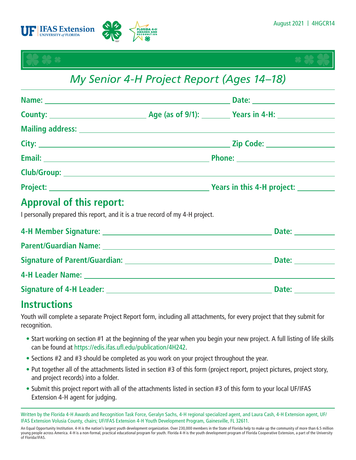





# *My Senior 4-H Project Report (Ages 14–18)*

|                                                    | Email: 2008. 2009. 2010. 2010. 2010. 2010. 2010. 2010. 2010. 2010. 2010. 2010. 2010. 2010. 2010. 2010. 2010. 2010. 2010. 2010. 2011. 2012. 2012. 2012. 2012. 2012. 2012. 2012. 2012. 2012. 2012. 2012. 2012. 2012. 2013. 2014. |                                         |  |
|----------------------------------------------------|--------------------------------------------------------------------------------------------------------------------------------------------------------------------------------------------------------------------------------|-----------------------------------------|--|
|                                                    |                                                                                                                                                                                                                                |                                         |  |
|                                                    |                                                                                                                                                                                                                                | Vears in this 4-H project: Nearly Mears |  |
| 2008년 - 대한민국의 대한민국의 대한민국의 대한민국의 대한민국의 <del>대</del> |                                                                                                                                                                                                                                |                                         |  |

## **Approval of this report:**

I personally prepared this report, and it is a true record of my 4-H project.

|                                                                      | <b>Date: Example 2</b>                                                                                                                                                                                                         |
|----------------------------------------------------------------------|--------------------------------------------------------------------------------------------------------------------------------------------------------------------------------------------------------------------------------|
|                                                                      |                                                                                                                                                                                                                                |
| Signature of Parent/Guardian: New York Signature of Parent/Guardian: | Date: the contract of the contract of the contract of the contract of the contract of the contract of the contract of the contract of the contract of the contract of the contract of the contract of the contract of the cont |
|                                                                      |                                                                                                                                                                                                                                |
|                                                                      | Date:                                                                                                                                                                                                                          |

## **Instructions**

Youth will complete a separate Project Report form, including all attachments, for every project that they submit for recognition.

- Start working on section #1 at the beginning of the year when you begin your new project. A full listing of life skills can be found at <https://edis.ifas.ufl.edu/publication/4H242>.
- Sections #2 and #3 should be completed as you work on your project throughout the year.
- Put together all of the attachments listed in section #3 of this form (project report, project pictures, project story, and project records) into a folder.
- Submit this project report with all of the attachments listed in section #3 of this form to your local UF/IFAS Extension 4-H agent for judging.

Written by the Florida 4-H Awards and Recognition Task Force, Geralyn Sachs, 4-H regional specialized agent, and Laura Cash, 4-H Extension agent, UF/ IFAS Extension Volusia County, chairs; UF/IFAS Extension 4-H Youth Development Program, Gainesville, FL 32611.

An Equal Opportunity Institution. 4-H is the nation's largest youth development organization. Over 230,000 members in the State of Florida help to make up the community of more than 6.5 million young people across America. 4-H is a non-formal, practical educational program for youth. Florida 4-H is the youth development program of Florida Cooperative Extension, a part of the University of Florida/IFAS.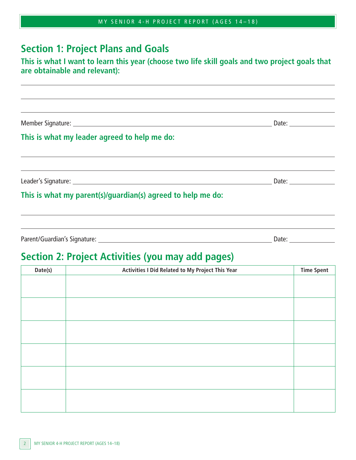|  |  |  |  | MY SENIOR 4-H PROJECT REPORT (AGES 14-18) |  |  |
|--|--|--|--|-------------------------------------------|--|--|
|--|--|--|--|-------------------------------------------|--|--|

#### **Section 1: Project Plans and Goals**

#### **This is what I want to learn this year (choose two life skill goals and two project goals that are obtainable and relevant):**

Member Signature: Date:

 $\overline{a}$ 

 $\overline{a}$ 

 $\overline{a}$ 

#### **This is what my leader agreed to help me do:**

Leader's Signature: University of the Contract of the Contract of the Date:

#### **This is what my parent(s)/guardian(s) agreed to help me do:**

Parent/Guardian's Signature: Date:

the control of the control of the control of the control of the control of the control of the control of the control of the control of the control of the control of the control of the control of the control of the control

## **Section 2: Project Activities (you may add pages)**

| Activities I Did Related to My Project This Year | <b>Time Spent</b> |
|--------------------------------------------------|-------------------|
|                                                  |                   |
|                                                  |                   |
|                                                  |                   |
|                                                  |                   |
|                                                  |                   |
|                                                  |                   |
|                                                  |                   |
|                                                  |                   |
|                                                  |                   |
|                                                  |                   |
|                                                  |                   |
|                                                  |                   |
|                                                  |                   |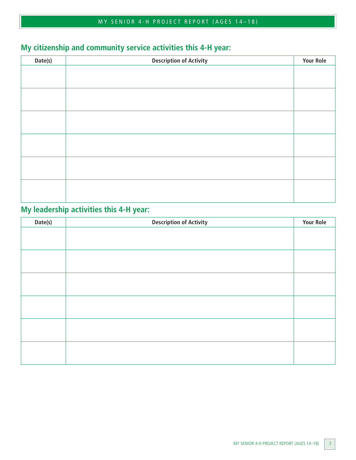## **My citizenship and community service activities this 4-H year:**

| Date(s) | <b>Description of Activity</b> | <b>Your Role</b> |
|---------|--------------------------------|------------------|
|         |                                |                  |
|         |                                |                  |
|         |                                |                  |
|         |                                |                  |
|         |                                |                  |
|         |                                |                  |
|         |                                |                  |
|         |                                |                  |
|         |                                |                  |
|         |                                |                  |
|         |                                |                  |
|         |                                |                  |
|         |                                |                  |
|         |                                |                  |

#### **My leadership activities this 4-H year:**

| Date(s) | <b>Description of Activity</b> | <b>Your Role</b> |
|---------|--------------------------------|------------------|
|         |                                |                  |
|         |                                |                  |
|         |                                |                  |
|         |                                |                  |
|         |                                |                  |
|         |                                |                  |
|         |                                |                  |
|         |                                |                  |
|         |                                |                  |
|         |                                |                  |
|         |                                |                  |
|         |                                |                  |
|         |                                |                  |
|         |                                |                  |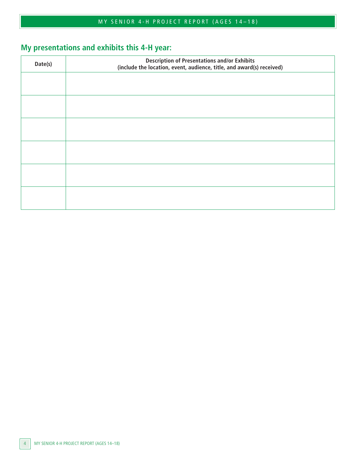## **My presentations and exhibits this 4-H year:**

| Date(s) | <b>Description of Presentations and/or Exhibits</b><br>(include the location, event, audience, title, and award(s) received) |  |
|---------|------------------------------------------------------------------------------------------------------------------------------|--|
|         |                                                                                                                              |  |
|         |                                                                                                                              |  |
|         |                                                                                                                              |  |
|         |                                                                                                                              |  |
|         |                                                                                                                              |  |
|         |                                                                                                                              |  |
|         |                                                                                                                              |  |
|         |                                                                                                                              |  |
|         |                                                                                                                              |  |
|         |                                                                                                                              |  |
|         |                                                                                                                              |  |
|         |                                                                                                                              |  |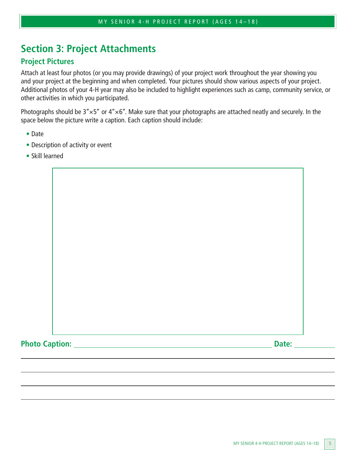## **Section 3: Project Attachments**

#### **Project Pictures**

Attach at least four photos (or you may provide drawings) of your project work throughout the year showing you and your project at the beginning and when completed. Your pictures should show various aspects of your project. Additional photos of your 4-H year may also be included to highlight experiences such as camp, community service, or other activities in which you participated.

Photographs should be  $3'' \times 5''$  or  $4'' \times 6''$ . Make sure that your photographs are attached neatly and securely. In the space below the picture write a caption. Each caption should include:

- Date
- Description of activity or event
- Skill learned

Photo Caption: <u>Date: **Date:** Date:</u> Date: **Date: Date: Date: Date: Date: Date: Date: Date: Date: Date: Date: Date: Date: Date: Date: Date: Date: Date: Date: Date: Date: Date: Da**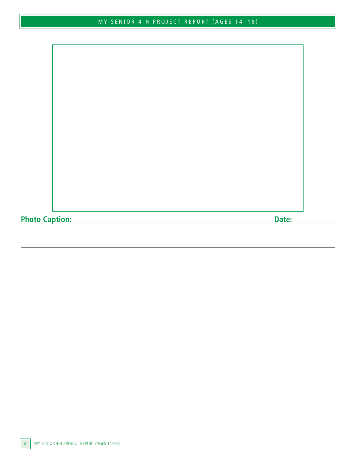**Photo Caption: Date:**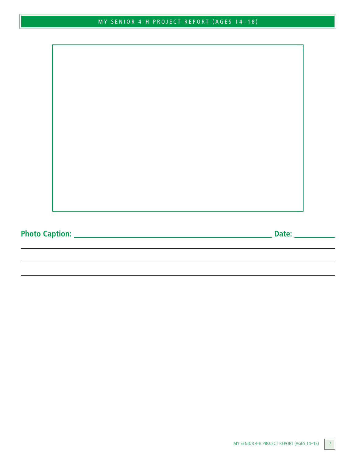**Photo Caption: Date:**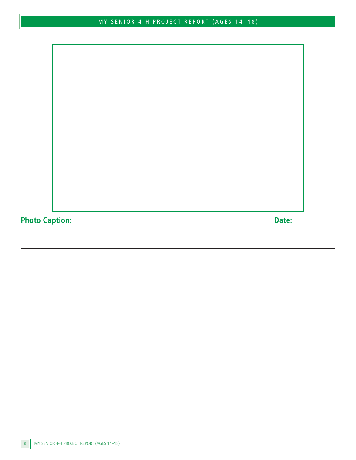**Photo Caption: Date:**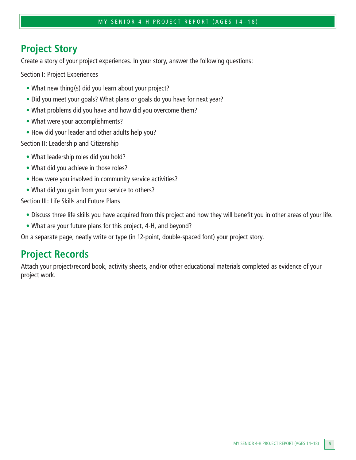#### **Project Story**

Create a story of your project experiences. In your story, answer the following questions:

Section I: Project Experiences

- What new thing(s) did you learn about your project?
- Did you meet your goals? What plans or goals do you have for next year?
- What problems did you have and how did you overcome them?
- What were your accomplishments?
- How did your leader and other adults help you?

Section II: Leadership and Citizenship

- What leadership roles did you hold?
- What did you achieve in those roles?
- How were you involved in community service activities?
- What did you gain from your service to others?

Section III: Life Skills and Future Plans

- Discuss three life skills you have acquired from this project and how they will benefit you in other areas of your life.
- What are your future plans for this project, 4-H, and beyond?

On a separate page, neatly write or type (in 12-point, double-spaced font) your project story.

## **Project Records**

Attach your project/record book, activity sheets, and/or other educational materials completed as evidence of your project work.